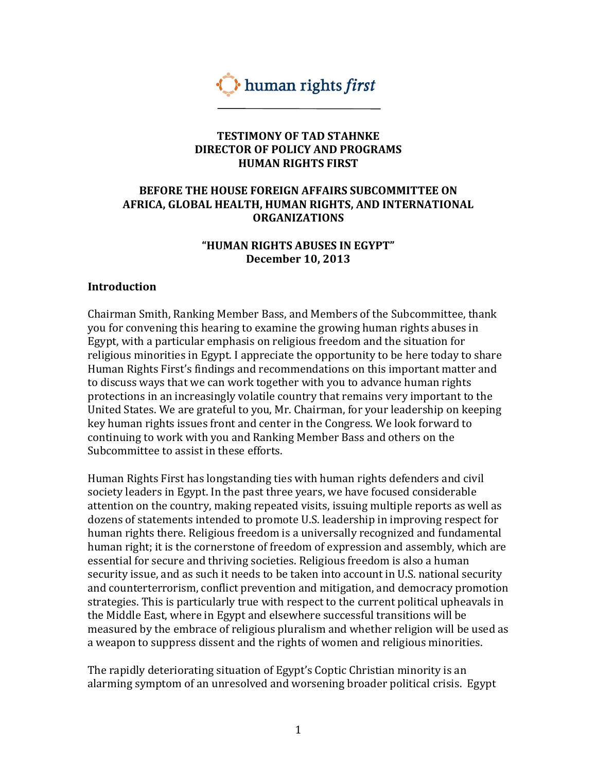

#### **TESTIMONY OF TAD STAHNKE DIRECTOR OF POLICY AND PROGRAMS HUMAN RIGHTS FIRST**

## **BEFORE THE HOUSE FOREIGN AFFAIRS SUBCOMMITTEE ON AFRICA, GLOBAL HEALTH, HUMAN RIGHTS, AND INTERNATIONAL ORGANIZATIONS**

## **"HUMAN RIGHTS ABUSES IN EGYPT" December 10, 2013**

#### **Introduction**

Chairman Smith, Ranking Member Bass, and Members of the Subcommittee, thank you for convening this hearing to examine the growing human rights abuses in Egypt, with a particular emphasis on religious freedom and the situation for religious minorities in Egypt. I appreciate the opportunity to be here today to share Human Rights First's findings and recommendations on this important matter and to discuss ways that we can work together with you to advance human rights protections in an increasingly volatile country that remains very important to the United States. We are grateful to you, Mr. Chairman, for your leadership on keeping key human rights issues front and center in the Congress. We look forward to continuing to work with you and Ranking Member Bass and others on the Subcommittee to assist in these efforts.

Human Rights First has longstanding ties with human rights defenders and civil society leaders in Egypt. In the past three years, we have focused considerable attention on the country, making repeated visits, issuing multiple reports as well as dozens of statements intended to promote U.S. leadership in improving respect for human rights there. Religious freedom is a universally recognized and fundamental human right; it is the cornerstone of freedom of expression and assembly, which are essential for secure and thriving societies. Religious freedom is also a human security issue, and as such it needs to be taken into account in U.S. national security and counterterrorism, conflict prevention and mitigation, and democracy promotion strategies. This is particularly true with respect to the current political upheavals in the Middle East, where in Egypt and elsewhere successful transitions will be measured by the embrace of religious pluralism and whether religion will be used as a weapon to suppress dissent and the rights of women and religious minorities.

The rapidly deteriorating situation of Egypt's Coptic Christian minority is an alarming symptom of an unresolved and worsening broader political crisis. Egypt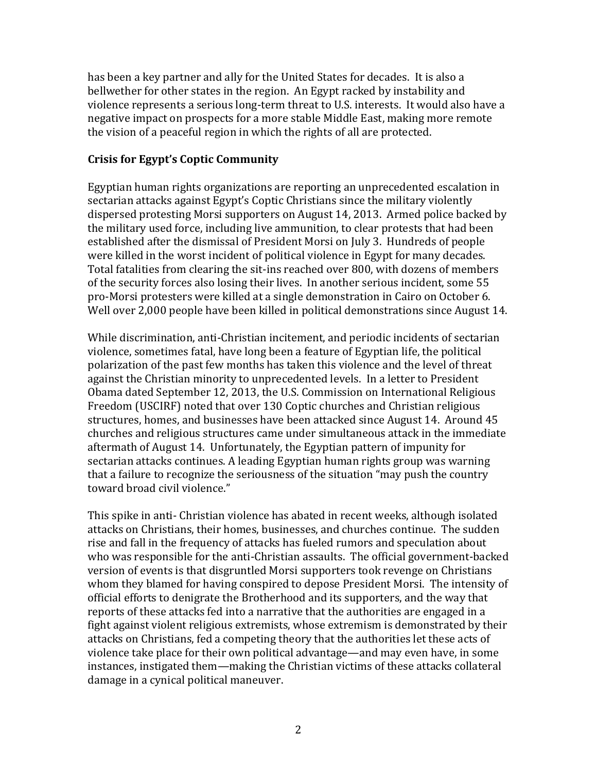has been a key partner and ally for the United States for decades. It is also a bellwether for other states in the region. An Egypt racked by instability and violence represents a serious long-term threat to U.S. interests. It would also have a negative impact on prospects for a more stable Middle East, making more remote the vision of a peaceful region in which the rights of all are protected.

## **Crisis for Egypt's Coptic Community**

Egyptian human rights organizations are reporting an unprecedented escalation in sectarian attacks against Egypt's Coptic Christians since the military violently dispersed protesting Morsi supporters on August 14, 2013. Armed police backed by the military used force, including live ammunition, to clear protests that had been established after the dismissal of President Morsi on July 3. Hundreds of people were killed in the worst incident of political violence in Egypt for many decades. Total fatalities from clearing the sit-ins reached over 800, with dozens of members of the security forces also losing their lives. In another serious incident, some 55 pro-Morsi protesters were killed at a single demonstration in Cairo on October 6. Well over 2,000 people have been killed in political demonstrations since August 14.

While discrimination, anti-Christian incitement, and periodic incidents of sectarian violence, sometimes fatal, have long been a feature of Egyptian life, the political polarization of the past few months has taken this violence and the level of threat against the Christian minority to unprecedented levels. In a letter to President Obama dated September 12, 2013, the U.S. Commission on International Religious Freedom (USCIRF) noted that over 130 Coptic churches and Christian religious structures, homes, and businesses have been attacked since August 14. Around 45 churches and religious structures came under simultaneous attack in the immediate aftermath of August 14. Unfortunately, the Egyptian pattern of impunity for sectarian attacks continues. A leading Egyptian human rights group was warning that a failure to recognize the seriousness of the situation "may push the country toward broad civil violence."

This spike in anti- Christian violence has abated in recent weeks, although isolated attacks on Christians, their homes, businesses, and churches continue. The sudden rise and fall in the frequency of attacks has fueled rumors and speculation about who was responsible for the anti-Christian assaults. The official government-backed version of events is that disgruntled Morsi supporters took revenge on Christians whom they blamed for having conspired to depose President Morsi. The intensity of official efforts to denigrate the Brotherhood and its supporters, and the way that reports of these attacks fed into a narrative that the authorities are engaged in a fight against violent religious extremists, whose extremism is demonstrated by their attacks on Christians, fed a competing theory that the authorities let these acts of violence take place for their own political advantage—and may even have, in some instances, instigated them—making the Christian victims of these attacks collateral damage in a cynical political maneuver.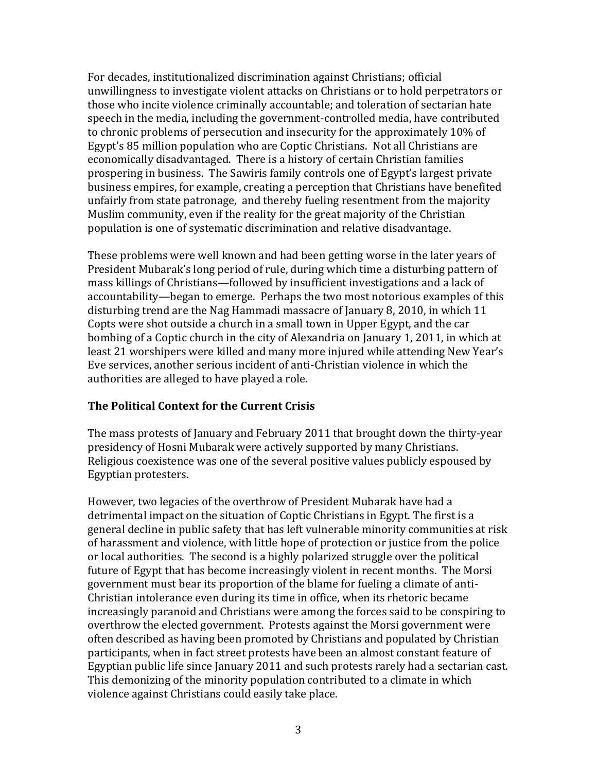For decades, institutionalized discrimination against Christians; official unwillingness to investigate violent attacks on Christians or to hold perpetrators or those who incite violence criminally accountable; and toleration of sectarian hate speech in the media, including the government-controlled media, have contributed to chronic problems of persecution and insecurity for the approximately 10% of Egypt's 85 million population who are Coptic Christians. Not all Christians are economically disadvantaged. There is a history of certain Christian families prospering in business. The Sawiris family controls one of Egypt's largest private business empires, for example, creating a perception that Christians have benefited unfairly from state patronage, and thereby fueling resentment from the majority Muslim community, even if the reality for the great majority of the Christian population is one of systematic discrimination and relative disadvantage.

These problems were well known and had been getting worse in the later years of President Mubarak's long period of rule, during which time a disturbing pattern of mass killings of Christians—followed by insufficient investigations and a lack of accountability—began to emerge. Perhaps the two most notorious examples of this disturbing trend are the Nag Hammadi massacre of January 8, 2010, in which 11 Copts were shot outside a church in a small town in Upper Egypt, and the car bombing of a Coptic church in the city of Alexandria on January 1, 2011, in which at least 21 worshipers were killed and many more injured while attending New Year's Eve services, another serious incident of anti-Christian violence in which the authorities are alleged to have played a role.

## **The Political Context for the Current Crisis**

The mass protests of January and February 2011 that brought down the thirty-year presidency of Hosni Mubarak were actively supported by many Christians. Religious coexistence was one of the several positive values publicly espoused by Egyptian protesters.

However, two legacies of the overthrow of President Mubarak have had a detrimental impact on the situation of Coptic Christians in Egypt. The first is a general decline in public safety that has left vulnerable minority communities at risk of harassment and violence, with little hope of protection or justice from the police or local authorities. The second is a highly polarized struggle over the political future of Egypt that has become increasingly violent in recent months. The Morsi government must bear its proportion of the blame for fueling a climate of anti-Christian intolerance even during its time in office, when its rhetoric became increasingly paranoid and Christians were among the forces said to be conspiring to overthrow the elected government. Protests against the Morsi government were often described as having been promoted by Christians and populated by Christian participants, when in fact street protests have been an almost constant feature of Egyptian public life since January 2011 and such protests rarely had a sectarian cast. This demonizing of the minority population contributed to a climate in which violence against Christians could easily take place.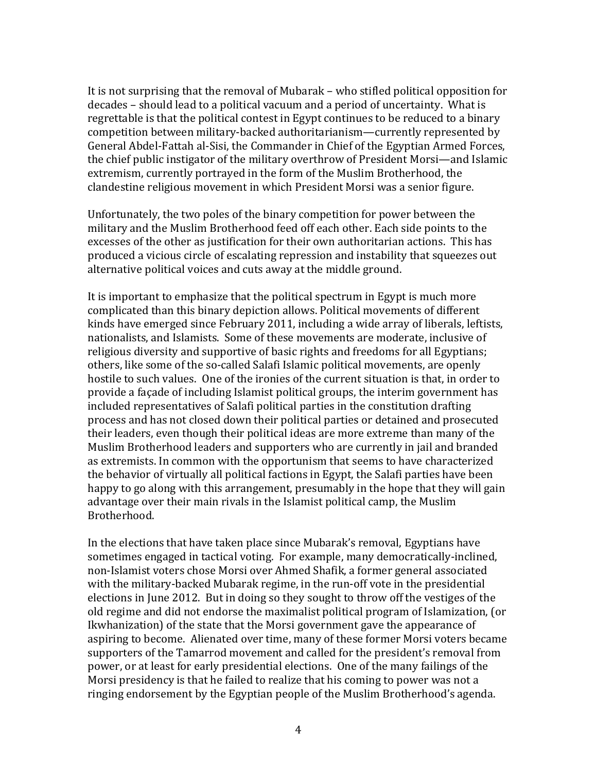It is not surprising that the removal of Mubarak – who stifled political opposition for decades – should lead to a political vacuum and a period of uncertainty. What is regrettable is that the political contest in Egypt continues to be reduced to a binary competition between military-backed authoritarianism—currently represented by General Abdel-Fattah al-Sisi, the Commander in Chief of the Egyptian Armed Forces, the chief public instigator of the military overthrow of President Morsi—and Islamic extremism, currently portrayed in the form of the Muslim Brotherhood, the clandestine religious movement in which President Morsi was a senior figure.

Unfortunately, the two poles of the binary competition for power between the military and the Muslim Brotherhood feed off each other. Each side points to the excesses of the other as justification for their own authoritarian actions. This has produced a vicious circle of escalating repression and instability that squeezes out alternative political voices and cuts away at the middle ground.

It is important to emphasize that the political spectrum in Egypt is much more complicated than this binary depiction allows. Political movements of different kinds have emerged since February 2011, including a wide array of liberals, leftists, nationalists, and Islamists. Some of these movements are moderate, inclusive of religious diversity and supportive of basic rights and freedoms for all Egyptians; others, like some of the so-called Salafi Islamic political movements, are openly hostile to such values. One of the ironies of the current situation is that, in order to provide a façade of including Islamist political groups, the interim government has included representatives of Salafi political parties in the constitution drafting process and has not closed down their political parties or detained and prosecuted their leaders, even though their political ideas are more extreme than many of the Muslim Brotherhood leaders and supporters who are currently in jail and branded as extremists. In common with the opportunism that seems to have characterized the behavior of virtually all political factions in Egypt, the Salafi parties have been happy to go along with this arrangement, presumably in the hope that they will gain advantage over their main rivals in the Islamist political camp, the Muslim Brotherhood.

In the elections that have taken place since Mubarak's removal, Egyptians have sometimes engaged in tactical voting. For example, many democratically-inclined, non-Islamist voters chose Morsi over Ahmed Shafik, a former general associated with the military-backed Mubarak regime, in the run-off vote in the presidential elections in June 2012. But in doing so they sought to throw off the vestiges of the old regime and did not endorse the maximalist political program of Islamization, (or Ikwhanization) of the state that the Morsi government gave the appearance of aspiring to become. Alienated over time, many of these former Morsi voters became supporters of the Tamarrod movement and called for the president's removal from power, or at least for early presidential elections. One of the many failings of the Morsi presidency is that he failed to realize that his coming to power was not a ringing endorsement by the Egyptian people of the Muslim Brotherhood's agenda.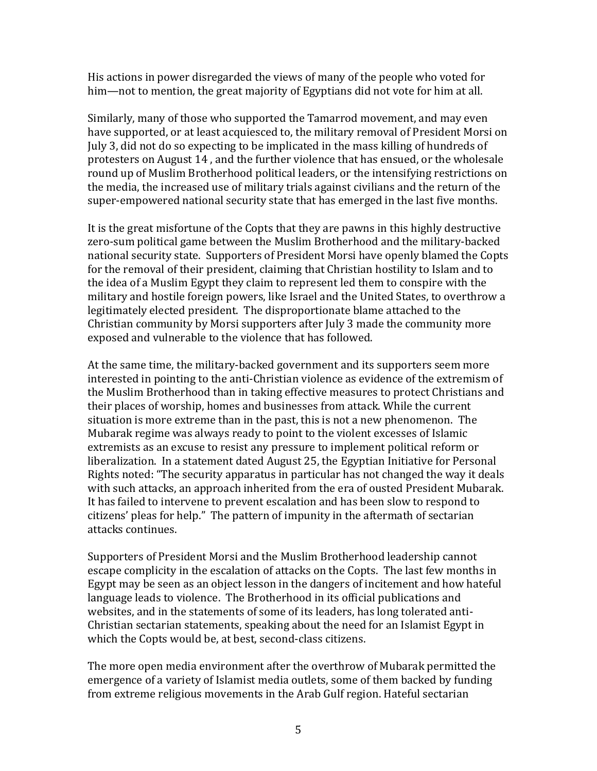His actions in power disregarded the views of many of the people who voted for him—not to mention, the great majority of Egyptians did not vote for him at all.

Similarly, many of those who supported the Tamarrod movement, and may even have supported, or at least acquiesced to, the military removal of President Morsi on July 3, did not do so expecting to be implicated in the mass killing of hundreds of protesters on August 14 , and the further violence that has ensued, or the wholesale round up of Muslim Brotherhood political leaders, or the intensifying restrictions on the media, the increased use of military trials against civilians and the return of the super-empowered national security state that has emerged in the last five months.

It is the great misfortune of the Copts that they are pawns in this highly destructive zero-sum political game between the Muslim Brotherhood and the military-backed national security state. Supporters of President Morsi have openly blamed the Copts for the removal of their president, claiming that Christian hostility to Islam and to the idea of a Muslim Egypt they claim to represent led them to conspire with the military and hostile foreign powers, like Israel and the United States, to overthrow a legitimately elected president. The disproportionate blame attached to the Christian community by Morsi supporters after July 3 made the community more exposed and vulnerable to the violence that has followed.

At the same time, the military-backed government and its supporters seem more interested in pointing to the anti-Christian violence as evidence of the extremism of the Muslim Brotherhood than in taking effective measures to protect Christians and their places of worship, homes and businesses from attack. While the current situation is more extreme than in the past, this is not a new phenomenon. The Mubarak regime was always ready to point to the violent excesses of Islamic extremists as an excuse to resist any pressure to implement political reform or liberalization. In a statement dated August 25, the Egyptian Initiative for Personal Rights noted: "The security apparatus in particular has not changed the way it deals with such attacks, an approach inherited from the era of ousted President Mubarak. It has failed to intervene to prevent escalation and has been slow to respond to citizens' pleas for help." The pattern of impunity in the aftermath of sectarian attacks continues.

Supporters of President Morsi and the Muslim Brotherhood leadership cannot escape complicity in the escalation of attacks on the Copts. The last few months in Egypt may be seen as an object lesson in the dangers of incitement and how hateful language leads to violence. The Brotherhood in its official publications and websites, and in the statements of some of its leaders, has long tolerated anti-Christian sectarian statements, speaking about the need for an Islamist Egypt in which the Copts would be, at best, second-class citizens.

The more open media environment after the overthrow of Mubarak permitted the emergence of a variety of Islamist media outlets, some of them backed by funding from extreme religious movements in the Arab Gulf region. Hateful sectarian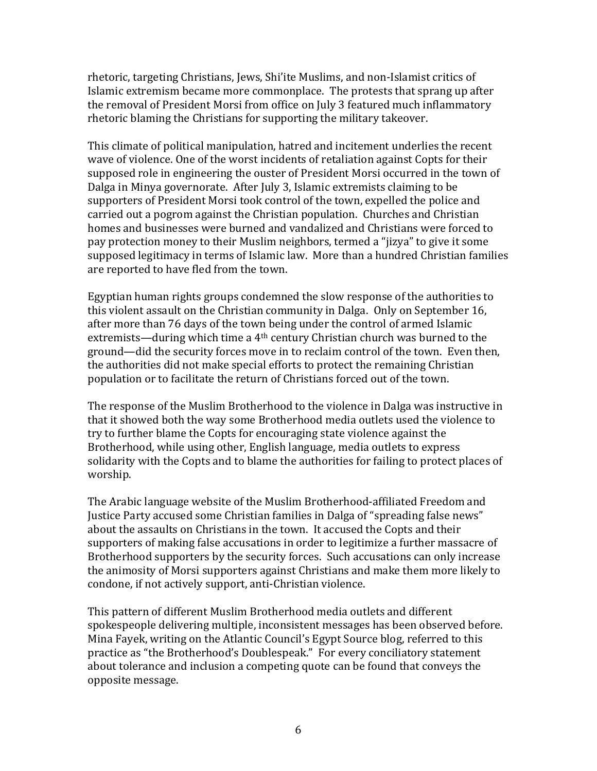rhetoric, targeting Christians, Jews, Shi'ite Muslims, and non-Islamist critics of Islamic extremism became more commonplace. The protests that sprang up after the removal of President Morsi from office on July 3 featured much inflammatory rhetoric blaming the Christians for supporting the military takeover.

This climate of political manipulation, hatred and incitement underlies the recent wave of violence. One of the worst incidents of retaliation against Copts for their supposed role in engineering the ouster of President Morsi occurred in the town of Dalga in Minya governorate. After July 3, Islamic extremists claiming to be supporters of President Morsi took control of the town, expelled the police and carried out a pogrom against the Christian population. Churches and Christian homes and businesses were burned and vandalized and Christians were forced to pay protection money to their Muslim neighbors, termed a "jizya" to give it some supposed legitimacy in terms of Islamic law. More than a hundred Christian families are reported to have fled from the town.

Egyptian human rights groups condemned the slow response of the authorities to this violent assault on the Christian community in Dalga. Only on September 16, after more than 76 days of the town being under the control of armed Islamic extremists—during which time a 4th century Christian church was burned to the ground—did the security forces move in to reclaim control of the town. Even then, the authorities did not make special efforts to protect the remaining Christian population or to facilitate the return of Christians forced out of the town.

The response of the Muslim Brotherhood to the violence in Dalga was instructive in that it showed both the way some Brotherhood media outlets used the violence to try to further blame the Copts for encouraging state violence against the Brotherhood, while using other, English language, media outlets to express solidarity with the Copts and to blame the authorities for failing to protect places of worship.

The Arabic language website of the Muslim Brotherhood-affiliated Freedom and Justice Party accused some Christian families in Dalga of "spreading false news" about the assaults on Christians in the town. It accused the Copts and their supporters of making false accusations in order to legitimize a further massacre of Brotherhood supporters by the security forces. Such accusations can only increase the animosity of Morsi supporters against Christians and make them more likely to condone, if not actively support, anti-Christian violence.

This pattern of different Muslim Brotherhood media outlets and different spokespeople delivering multiple, inconsistent messages has been observed before. Mina Fayek, writing on the Atlantic Council's Egypt Source blog, referred to this practice as "the Brotherhood's Doublespeak." For every conciliatory statement about tolerance and inclusion a competing quote can be found that conveys the opposite message.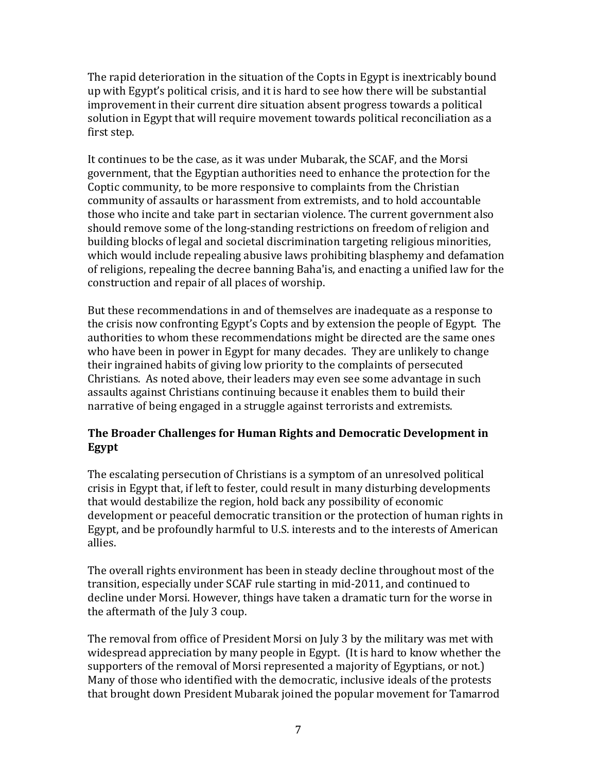The rapid deterioration in the situation of the Copts in Egypt is inextricably bound up with Egypt's political crisis, and it is hard to see how there will be substantial improvement in their current dire situation absent progress towards a political solution in Egypt that will require movement towards political reconciliation as a first step.

It continues to be the case, as it was under Mubarak, the SCAF, and the Morsi government, that the Egyptian authorities need to enhance the protection for the Coptic community, to be more responsive to complaints from the Christian community of assaults or harassment from extremists, and to hold accountable those who incite and take part in sectarian violence. The current government also should remove some of the long-standing restrictions on freedom of religion and building blocks of legal and societal discrimination targeting religious minorities, which would include repealing abusive laws prohibiting blasphemy and defamation of religions, repealing the decree banning Baha'is, and enacting a unified law for the construction and repair of all places of worship.

But these recommendations in and of themselves are inadequate as a response to the crisis now confronting Egypt's Copts and by extension the people of Egypt. The authorities to whom these recommendations might be directed are the same ones who have been in power in Egypt for many decades. They are unlikely to change their ingrained habits of giving low priority to the complaints of persecuted Christians. As noted above, their leaders may even see some advantage in such assaults against Christians continuing because it enables them to build their narrative of being engaged in a struggle against terrorists and extremists.

# **The Broader Challenges for Human Rights and Democratic Development in Egypt**

The escalating persecution of Christians is a symptom of an unresolved political crisis in Egypt that, if left to fester, could result in many disturbing developments that would destabilize the region, hold back any possibility of economic development or peaceful democratic transition or the protection of human rights in Egypt, and be profoundly harmful to U.S. interests and to the interests of American allies.

The overall rights environment has been in steady decline throughout most of the transition, especially under SCAF rule starting in mid-2011, and continued to decline under Morsi. However, things have taken a dramatic turn for the worse in the aftermath of the July 3 coup.

The removal from office of President Morsi on July 3 by the military was met with widespread appreciation by many people in Egypt. (It is hard to know whether the supporters of the removal of Morsi represented a majority of Egyptians, or not.) Many of those who identified with the democratic, inclusive ideals of the protests that brought down President Mubarak joined the popular movement for Tamarrod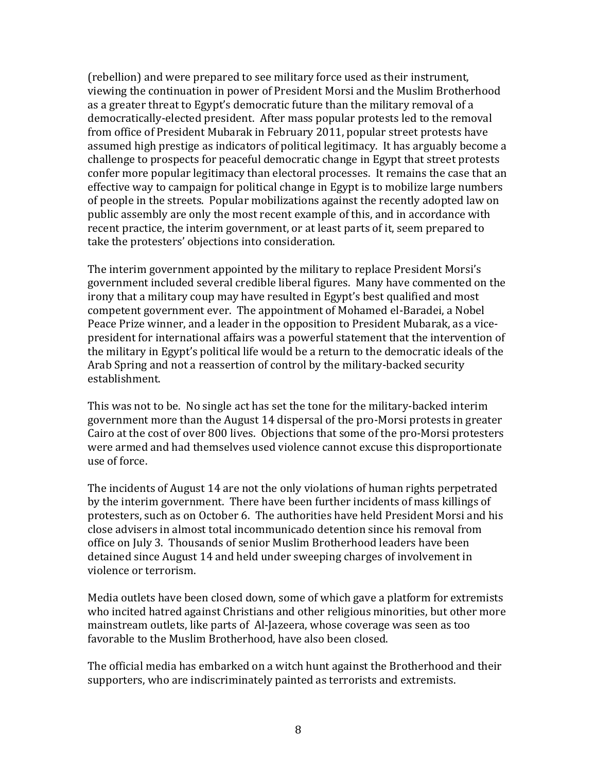(rebellion) and were prepared to see military force used as their instrument, viewing the continuation in power of President Morsi and the Muslim Brotherhood as a greater threat to Egypt's democratic future than the military removal of a democratically-elected president. After mass popular protests led to the removal from office of President Mubarak in February 2011, popular street protests have assumed high prestige as indicators of political legitimacy. It has arguably become a challenge to prospects for peaceful democratic change in Egypt that street protests confer more popular legitimacy than electoral processes. It remains the case that an effective way to campaign for political change in Egypt is to mobilize large numbers of people in the streets. Popular mobilizations against the recently adopted law on public assembly are only the most recent example of this, and in accordance with recent practice, the interim government, or at least parts of it, seem prepared to take the protesters' objections into consideration.

The interim government appointed by the military to replace President Morsi's government included several credible liberal figures. Many have commented on the irony that a military coup may have resulted in Egypt's best qualified and most competent government ever. The appointment of Mohamed el-Baradei, a Nobel Peace Prize winner, and a leader in the opposition to President Mubarak, as a vicepresident for international affairs was a powerful statement that the intervention of the military in Egypt's political life would be a return to the democratic ideals of the Arab Spring and not a reassertion of control by the military-backed security establishment.

This was not to be. No single act has set the tone for the military-backed interim government more than the August 14 dispersal of the pro-Morsi protests in greater Cairo at the cost of over 800 lives. Objections that some of the pro-Morsi protesters were armed and had themselves used violence cannot excuse this disproportionate use of force.

The incidents of August 14 are not the only violations of human rights perpetrated by the interim government. There have been further incidents of mass killings of protesters, such as on October 6. The authorities have held President Morsi and his close advisers in almost total incommunicado detention since his removal from office on July 3. Thousands of senior Muslim Brotherhood leaders have been detained since August 14 and held under sweeping charges of involvement in violence or terrorism.

Media outlets have been closed down, some of which gave a platform for extremists who incited hatred against Christians and other religious minorities, but other more mainstream outlets, like parts of Al-Jazeera, whose coverage was seen as too favorable to the Muslim Brotherhood, have also been closed.

The official media has embarked on a witch hunt against the Brotherhood and their supporters, who are indiscriminately painted as terrorists and extremists.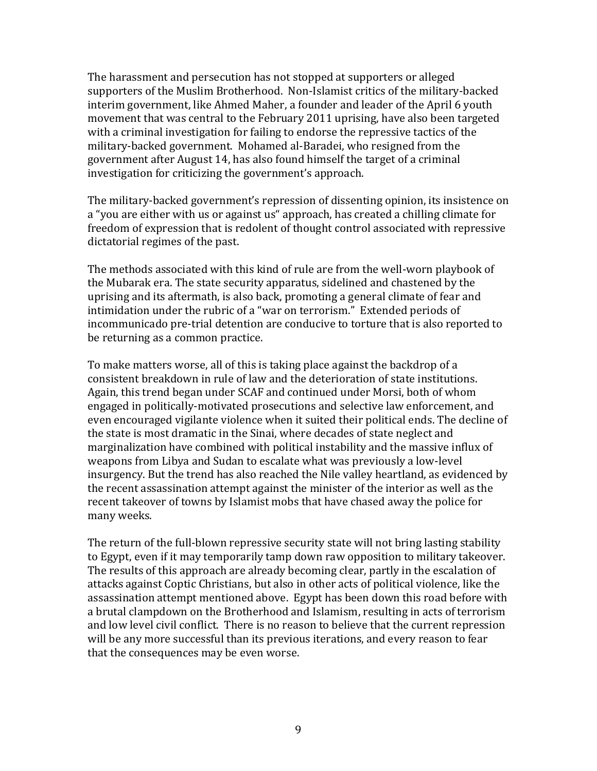The harassment and persecution has not stopped at supporters or alleged supporters of the Muslim Brotherhood. Non-Islamist critics of the military-backed interim government, like Ahmed Maher, a founder and leader of the April 6 youth movement that was central to the February 2011 uprising, have also been targeted with a criminal investigation for failing to endorse the repressive tactics of the military-backed government. Mohamed al-Baradei, who resigned from the government after August 14, has also found himself the target of a criminal investigation for criticizing the government's approach.

The military-backed government's repression of dissenting opinion, its insistence on a "you are either with us or against us" approach, has created a chilling climate for freedom of expression that is redolent of thought control associated with repressive dictatorial regimes of the past.

The methods associated with this kind of rule are from the well-worn playbook of the Mubarak era. The state security apparatus, sidelined and chastened by the uprising and its aftermath, is also back, promoting a general climate of fear and intimidation under the rubric of a "war on terrorism." Extended periods of incommunicado pre-trial detention are conducive to torture that is also reported to be returning as a common practice.

To make matters worse, all of this is taking place against the backdrop of a consistent breakdown in rule of law and the deterioration of state institutions. Again, this trend began under SCAF and continued under Morsi, both of whom engaged in politically-motivated prosecutions and selective law enforcement, and even encouraged vigilante violence when it suited their political ends. The decline of the state is most dramatic in the Sinai, where decades of state neglect and marginalization have combined with political instability and the massive influx of weapons from Libya and Sudan to escalate what was previously a low-level insurgency. But the trend has also reached the Nile valley heartland, as evidenced by the recent assassination attempt against the minister of the interior as well as the recent takeover of towns by Islamist mobs that have chased away the police for many weeks.

The return of the full-blown repressive security state will not bring lasting stability to Egypt, even if it may temporarily tamp down raw opposition to military takeover. The results of this approach are already becoming clear, partly in the escalation of attacks against Coptic Christians, but also in other acts of political violence, like the assassination attempt mentioned above. Egypt has been down this road before with a brutal clampdown on the Brotherhood and Islamism, resulting in acts of terrorism and low level civil conflict. There is no reason to believe that the current repression will be any more successful than its previous iterations, and every reason to fear that the consequences may be even worse.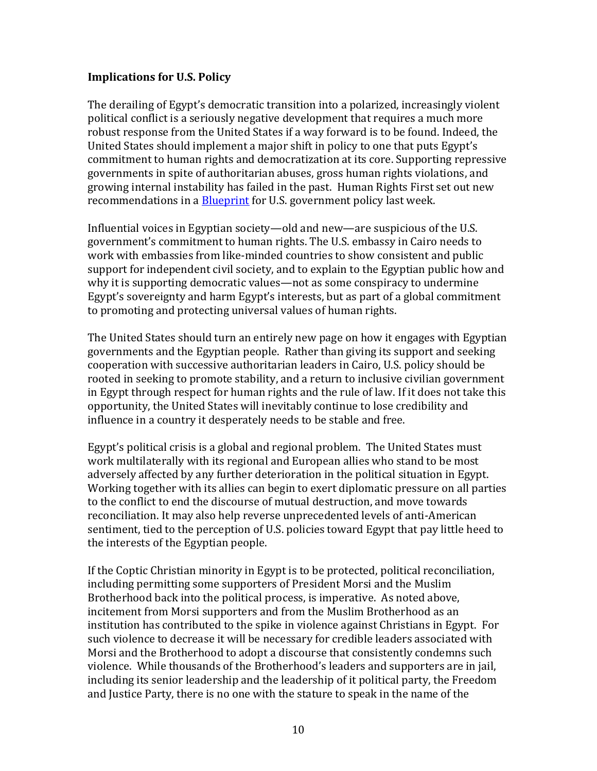## **Implications for U.S. Policy**

The derailing of Egypt's democratic transition into a polarized, increasingly violent political conflict is a seriously negative development that requires a much more robust response from the United States if a way forward is to be found. Indeed, the United States should implement a major shift in policy to one that puts Egypt's commitment to human rights and democratization at its core. Supporting repressive governments in spite of authoritarian abuses, gross human rights violations, and growing internal instability has failed in the past. Human Rights First set out new recommendations in a [Blueprint](http://www.humanrightsfirst.org/2013/12/04/blueprint-outlines-policy-recommendations-for-u-s-action-in-egypt/) for U.S. government policy last week.

Influential voices in Egyptian society—old and new—are suspicious of the U.S. government's commitment to human rights. The U.S. embassy in Cairo needs to work with embassies from like-minded countries to show consistent and public support for independent civil society, and to explain to the Egyptian public how and why it is supporting democratic values—not as some conspiracy to undermine Egypt's sovereignty and harm Egypt's interests, but as part of a global commitment to promoting and protecting universal values of human rights.

The United States should turn an entirely new page on how it engages with Egyptian governments and the Egyptian people. Rather than giving its support and seeking cooperation with successive authoritarian leaders in Cairo, U.S. policy should be rooted in seeking to promote stability, and a return to inclusive civilian government in Egypt through respect for human rights and the rule of law. If it does not take this opportunity, the United States will inevitably continue to lose credibility and influence in a country it desperately needs to be stable and free.

Egypt's political crisis is a global and regional problem. The United States must work multilaterally with its regional and European allies who stand to be most adversely affected by any further deterioration in the political situation in Egypt. Working together with its allies can begin to exert diplomatic pressure on all parties to the conflict to end the discourse of mutual destruction, and move towards reconciliation. It may also help reverse unprecedented levels of anti-American sentiment, tied to the perception of U.S. policies toward Egypt that pay little heed to the interests of the Egyptian people.

If the Coptic Christian minority in Egypt is to be protected, political reconciliation, including permitting some supporters of President Morsi and the Muslim Brotherhood back into the political process, is imperative. As noted above, incitement from Morsi supporters and from the Muslim Brotherhood as an institution has contributed to the spike in violence against Christians in Egypt. For such violence to decrease it will be necessary for credible leaders associated with Morsi and the Brotherhood to adopt a discourse that consistently condemns such violence. While thousands of the Brotherhood's leaders and supporters are in jail, including its senior leadership and the leadership of it political party, the Freedom and Justice Party, there is no one with the stature to speak in the name of the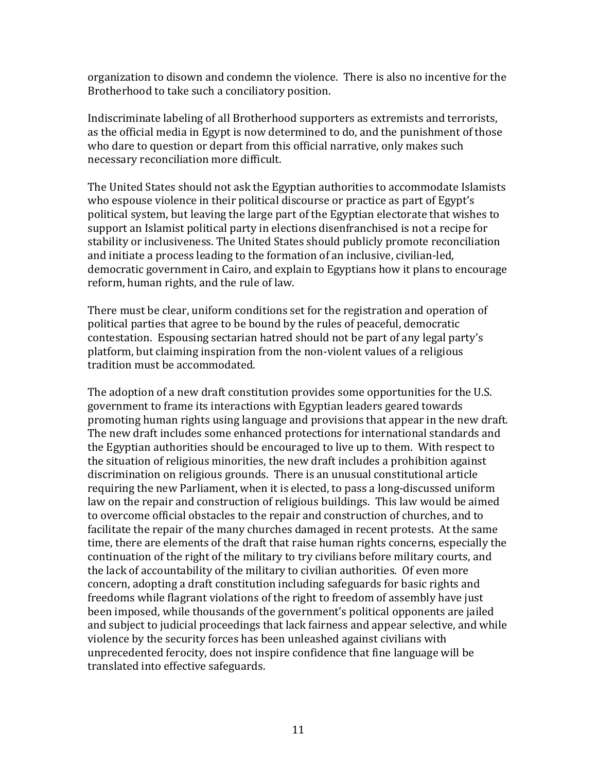organization to disown and condemn the violence. There is also no incentive for the Brotherhood to take such a conciliatory position.

Indiscriminate labeling of all Brotherhood supporters as extremists and terrorists, as the official media in Egypt is now determined to do, and the punishment of those who dare to question or depart from this official narrative, only makes such necessary reconciliation more difficult.

The United States should not ask the Egyptian authorities to accommodate Islamists who espouse violence in their political discourse or practice as part of Egypt's political system, but leaving the large part of the Egyptian electorate that wishes to support an Islamist political party in elections disenfranchised is not a recipe for stability or inclusiveness. The United States should publicly promote reconciliation and initiate a process leading to the formation of an inclusive, civilian-led, democratic government in Cairo, and explain to Egyptians how it plans to encourage reform, human rights, and the rule of law.

There must be clear, uniform conditions set for the registration and operation of political parties that agree to be bound by the rules of peaceful, democratic contestation. Espousing sectarian hatred should not be part of any legal party's platform, but claiming inspiration from the non-violent values of a religious tradition must be accommodated.

The adoption of a new draft constitution provides some opportunities for the U.S. government to frame its interactions with Egyptian leaders geared towards promoting human rights using language and provisions that appear in the new draft. The new draft includes some enhanced protections for international standards and the Egyptian authorities should be encouraged to live up to them. With respect to the situation of religious minorities, the new draft includes a prohibition against discrimination on religious grounds. There is an unusual constitutional article requiring the new Parliament, when it is elected, to pass a long-discussed uniform law on the repair and construction of religious buildings. This law would be aimed to overcome official obstacles to the repair and construction of churches, and to facilitate the repair of the many churches damaged in recent protests. At the same time, there are elements of the draft that raise human rights concerns, especially the continuation of the right of the military to try civilians before military courts, and the lack of accountability of the military to civilian authorities. Of even more concern, adopting a draft constitution including safeguards for basic rights and freedoms while flagrant violations of the right to freedom of assembly have just been imposed, while thousands of the government's political opponents are jailed and subject to judicial proceedings that lack fairness and appear selective, and while violence by the security forces has been unleashed against civilians with unprecedented ferocity, does not inspire confidence that fine language will be translated into effective safeguards.